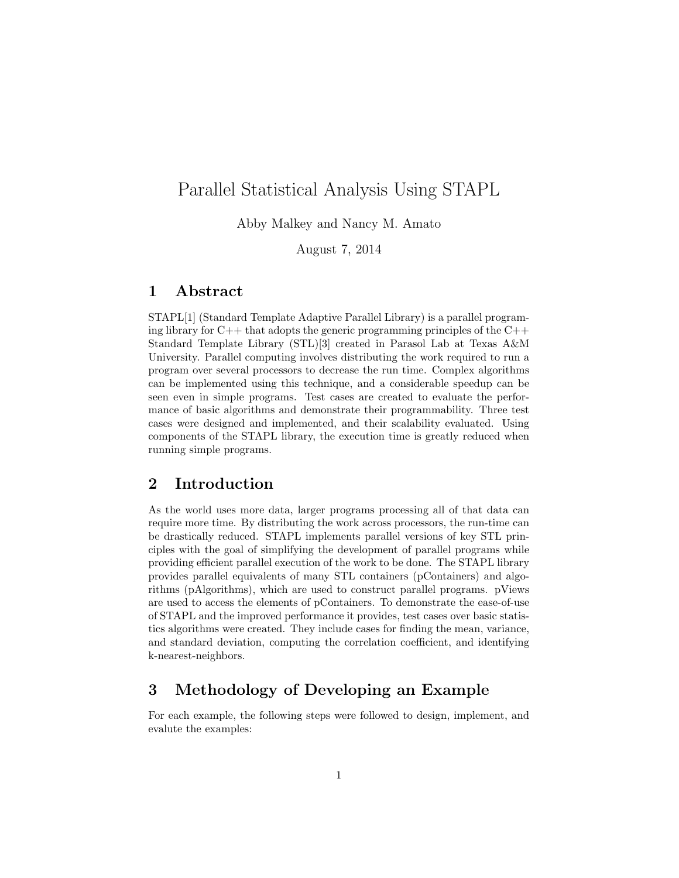# Parallel Statistical Analysis Using STAPL

Abby Malkey and Nancy M. Amato

August 7, 2014

## 1 Abstract

STAPL[1] (Standard Template Adaptive Parallel Library) is a parallel programing library for  $C_{++}$  that adopts the generic programming principles of the  $C_{++}$ Standard Template Library (STL)[3] created in Parasol Lab at Texas A&M University. Parallel computing involves distributing the work required to run a program over several processors to decrease the run time. Complex algorithms can be implemented using this technique, and a considerable speedup can be seen even in simple programs. Test cases are created to evaluate the performance of basic algorithms and demonstrate their programmability. Three test cases were designed and implemented, and their scalability evaluated. Using components of the STAPL library, the execution time is greatly reduced when running simple programs.

## 2 Introduction

As the world uses more data, larger programs processing all of that data can require more time. By distributing the work across processors, the run-time can be drastically reduced. STAPL implements parallel versions of key STL principles with the goal of simplifying the development of parallel programs while providing efficient parallel execution of the work to be done. The STAPL library provides parallel equivalents of many STL containers (pContainers) and algorithms (pAlgorithms), which are used to construct parallel programs. pViews are used to access the elements of pContainers. To demonstrate the ease-of-use of STAPL and the improved performance it provides, test cases over basic statistics algorithms were created. They include cases for finding the mean, variance, and standard deviation, computing the correlation coefficient, and identifying k-nearest-neighbors.

## 3 Methodology of Developing an Example

For each example, the following steps were followed to design, implement, and evalute the examples: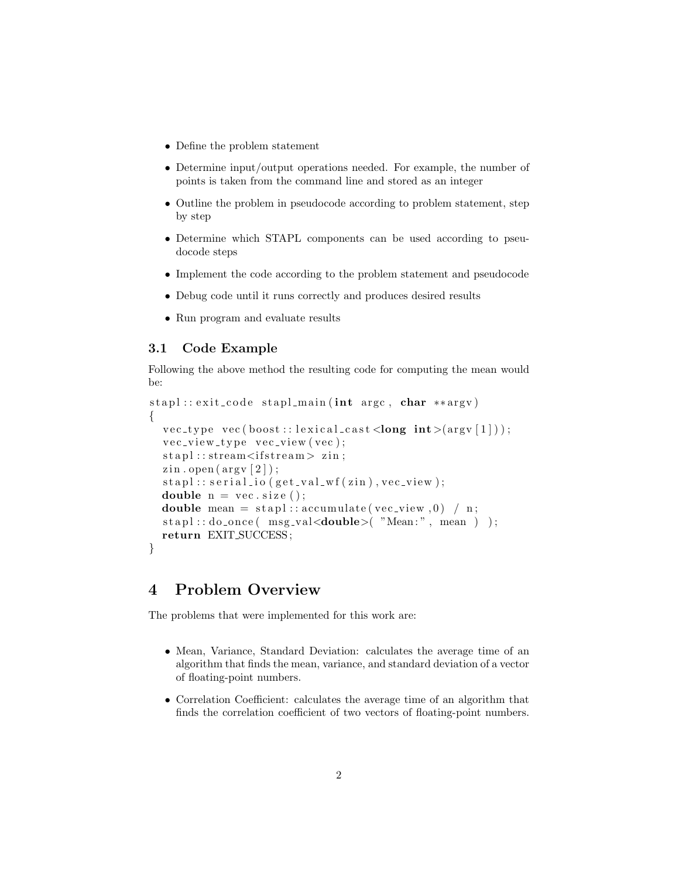- Define the problem statement
- Determine input/output operations needed. For example, the number of points is taken from the command line and stored as an integer
- Outline the problem in pseudocode according to problem statement, step by step
- Determine which STAPL components can be used according to pseudocode steps
- Implement the code according to the problem statement and pseudocode
- Debug code until it runs correctly and produces desired results
- Run program and evaluate results

## 3.1 Code Example

Following the above method the resulting code for computing the mean would be:

```
stapl :: exit_code stapl_main (int argc, char **argy)
{
  vec_type \vec{v} vec (boost:: lexical_cast < long int > (\arg v [1]));
  vec_v = v_i + v_j + v_j + v_j + v_j + v_kstabl::stream{s}{its} ream >z in;
  \min. open (\arg v [2]);
  stapl::serial.io (get_val_wf(zin), vec-view);double n = vec.size();
  double mean = \text{stapl} :: \text{accumulate}(\text{vec\_view}, 0) / n;
  \text{stapl} :: \text{do} \text{-once} (\text{msg\_val} \leq \text{double} > ("Mean:", mean ) );
  return EXIT SUCCESS ;
}
```
## 4 Problem Overview

The problems that were implemented for this work are:

- Mean, Variance, Standard Deviation: calculates the average time of an algorithm that finds the mean, variance, and standard deviation of a vector of floating-point numbers.
- Correlation Coefficient: calculates the average time of an algorithm that finds the correlation coefficient of two vectors of floating-point numbers.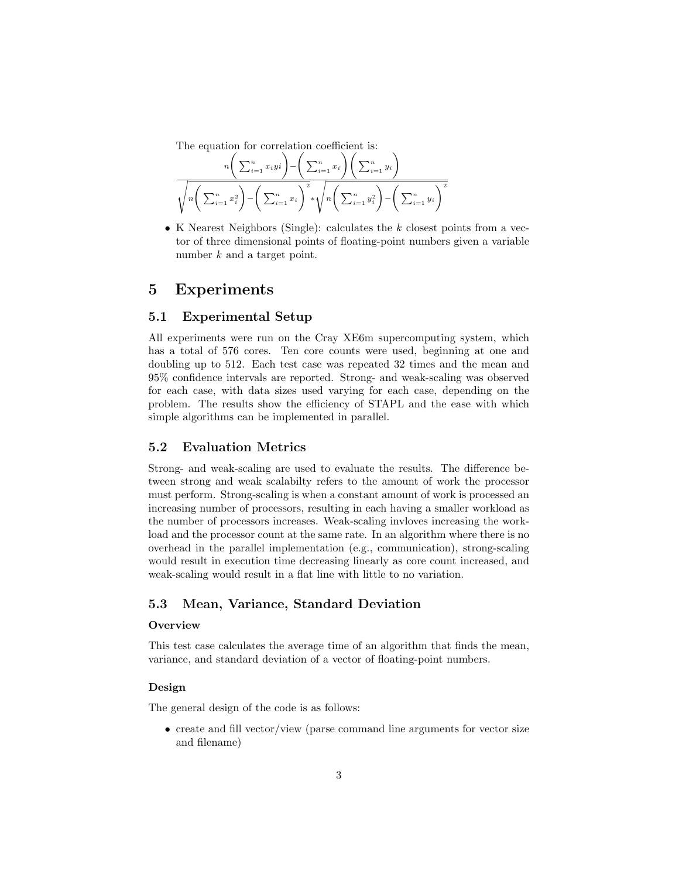The equation for correlation coefficient is:

$$
\frac{n\left(\sum_{i=1}^{n}x_{i}y_{i}\right)-\left(\sum_{i=1}^{n}x_{i}\right)\left(\sum_{i=1}^{n}y_{i}\right)}{\sqrt{n\left(\sum_{i=1}^{n}x_{i}^{2}\right)-\left(\sum_{i=1}^{n}x_{i}\right)^{2}}*\sqrt{n\left(\sum_{i=1}^{n}y_{i}^{2}\right)-\left(\sum_{i=1}^{n}y_{i}\right)^{2}}}
$$

• K Nearest Neighbors (Single): calculates the  $k$  closest points from a vector of three dimensional points of floating-point numbers given a variable number k and a target point.

## 5 Experiments

## 5.1 Experimental Setup

All experiments were run on the Cray XE6m supercomputing system, which has a total of 576 cores. Ten core counts were used, beginning at one and doubling up to 512. Each test case was repeated 32 times and the mean and 95% confidence intervals are reported. Strong- and weak-scaling was observed for each case, with data sizes used varying for each case, depending on the problem. The results show the efficiency of STAPL and the ease with which simple algorithms can be implemented in parallel.

### 5.2 Evaluation Metrics

Strong- and weak-scaling are used to evaluate the results. The difference between strong and weak scalabilty refers to the amount of work the processor must perform. Strong-scaling is when a constant amount of work is processed an increasing number of processors, resulting in each having a smaller workload as the number of processors increases. Weak-scaling invloves increasing the workload and the processor count at the same rate. In an algorithm where there is no overhead in the parallel implementation (e.g., communication), strong-scaling would result in execution time decreasing linearly as core count increased, and weak-scaling would result in a flat line with little to no variation.

## 5.3 Mean, Variance, Standard Deviation

#### **Overview**

This test case calculates the average time of an algorithm that finds the mean, variance, and standard deviation of a vector of floating-point numbers.

### Design

The general design of the code is as follows:

• create and fill vector/view (parse command line arguments for vector size and filename)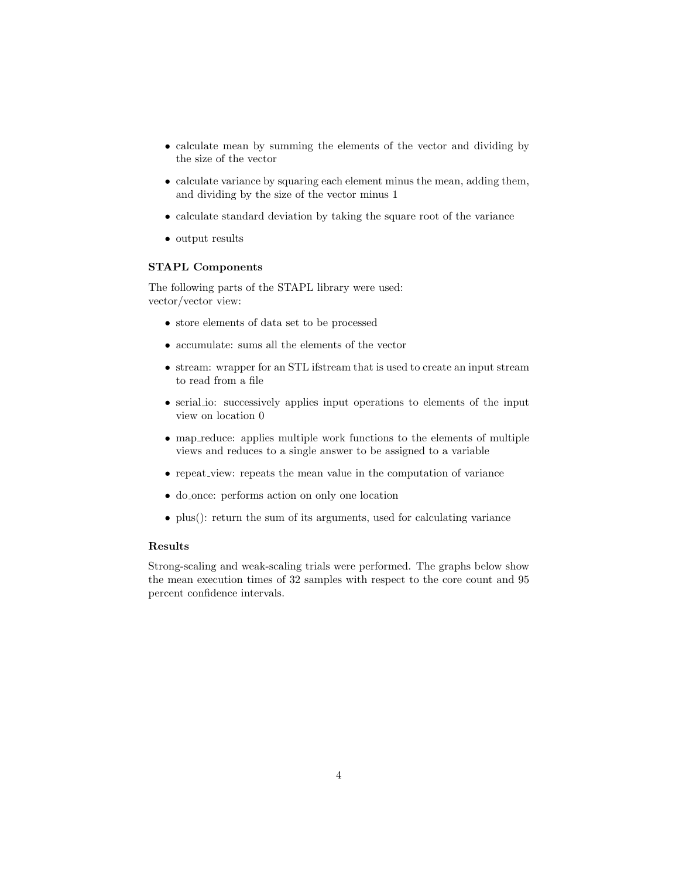- calculate mean by summing the elements of the vector and dividing by the size of the vector
- calculate variance by squaring each element minus the mean, adding them, and dividing by the size of the vector minus 1
- calculate standard deviation by taking the square root of the variance
- output results

### STAPL Components

The following parts of the STAPL library were used: vector/vector view:

- store elements of data set to be processed
- accumulate: sums all the elements of the vector
- stream: wrapper for an STL ifstream that is used to create an input stream to read from a file
- serial io: successively applies input operations to elements of the input view on location 0
- map reduce: applies multiple work functions to the elements of multiple views and reduces to a single answer to be assigned to a variable
- repeat view: repeats the mean value in the computation of variance
- do once: performs action on only one location
- plus(): return the sum of its arguments, used for calculating variance

### Results

Strong-scaling and weak-scaling trials were performed. The graphs below show the mean execution times of 32 samples with respect to the core count and 95 percent confidence intervals.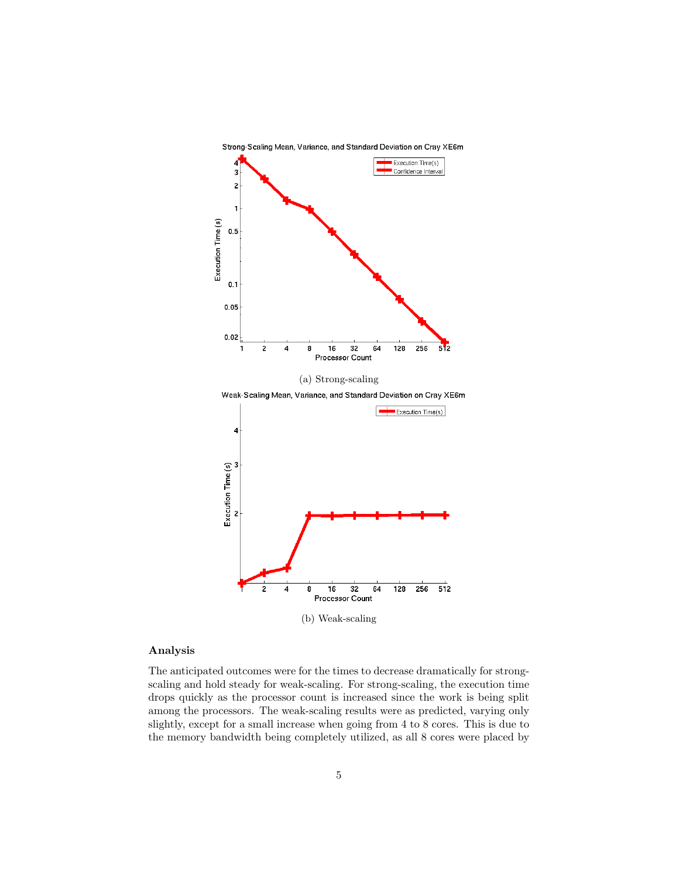

#### Analysis

The anticipated outcomes were for the times to decrease dramatically for strongscaling and hold steady for weak-scaling. For strong-scaling, the execution time drops quickly as the processor count is increased since the work is being split among the processors. The weak-scaling results were as predicted, varying only slightly, except for a small increase when going from 4 to 8 cores. This is due to the memory bandwidth being completely utilized, as all 8 cores were placed by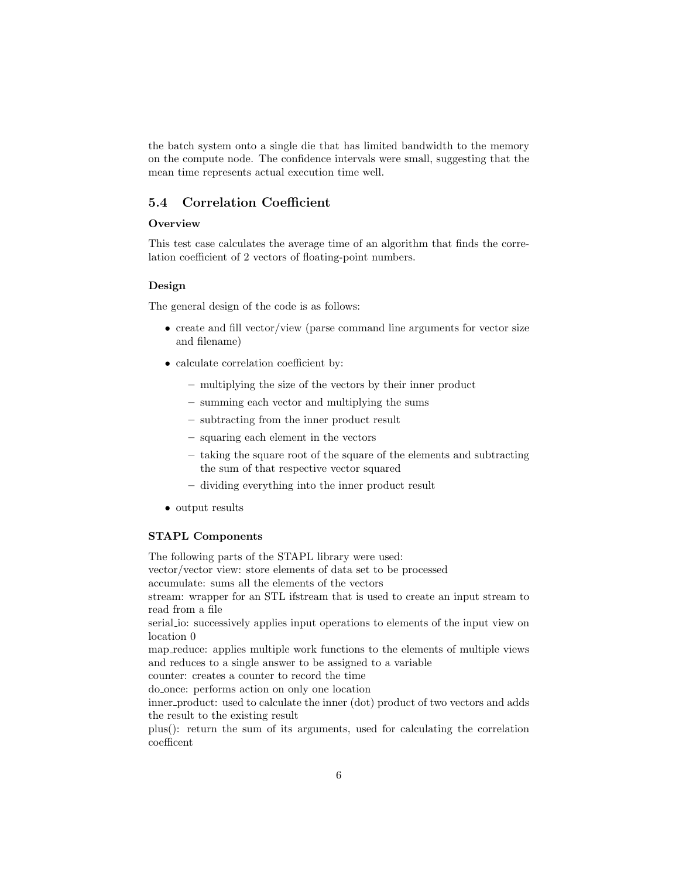the batch system onto a single die that has limited bandwidth to the memory on the compute node. The confidence intervals were small, suggesting that the mean time represents actual execution time well.

## 5.4 Correlation Coefficient

#### **Overview**

This test case calculates the average time of an algorithm that finds the correlation coefficient of 2 vectors of floating-point numbers.

#### Design

The general design of the code is as follows:

- create and fill vector/view (parse command line arguments for vector size and filename)
- calculate correlation coefficient by:
	- multiplying the size of the vectors by their inner product
	- summing each vector and multiplying the sums
	- subtracting from the inner product result
	- squaring each element in the vectors
	- taking the square root of the square of the elements and subtracting the sum of that respective vector squared
	- dividing everything into the inner product result
- output results

### STAPL Components

The following parts of the STAPL library were used: vector/vector view: store elements of data set to be processed accumulate: sums all the elements of the vectors stream: wrapper for an STL ifstream that is used to create an input stream to read from a file serial io: successively applies input operations to elements of the input view on location 0 map reduce: applies multiple work functions to the elements of multiple views and reduces to a single answer to be assigned to a variable counter: creates a counter to record the time do once: performs action on only one location inner product: used to calculate the inner (dot) product of two vectors and adds the result to the existing result plus(): return the sum of its arguments, used for calculating the correlation coefficent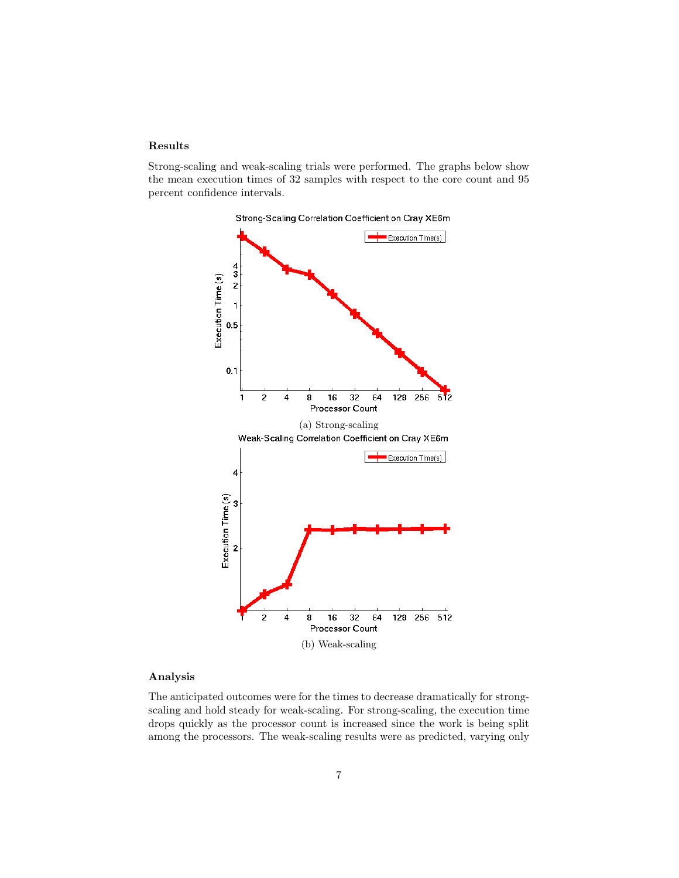### Results

Strong-scaling and weak-scaling trials were performed. The graphs below show the mean execution times of 32 samples with respect to the core count and 95 percent confidence intervals.



### Analysis

The anticipated outcomes were for the times to decrease dramatically for strongscaling and hold steady for weak-scaling. For strong-scaling, the execution time drops quickly as the processor count is increased since the work is being split among the processors. The weak-scaling results were as predicted, varying only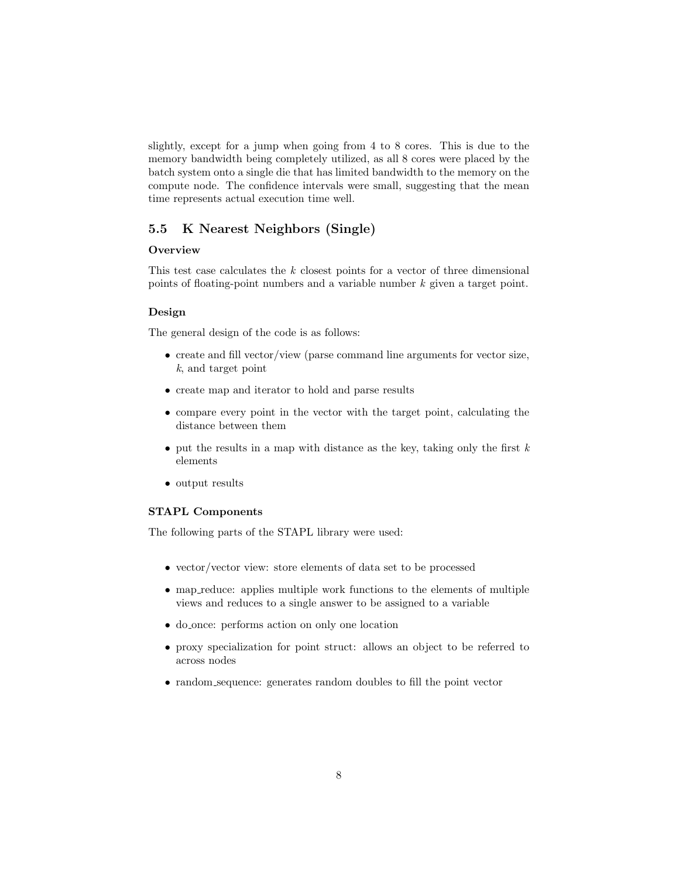slightly, except for a jump when going from 4 to 8 cores. This is due to the memory bandwidth being completely utilized, as all 8 cores were placed by the batch system onto a single die that has limited bandwidth to the memory on the compute node. The confidence intervals were small, suggesting that the mean time represents actual execution time well.

## 5.5 K Nearest Neighbors (Single)

## **Overview**

This test case calculates the k closest points for a vector of three dimensional points of floating-point numbers and a variable number k given a target point.

#### Design

The general design of the code is as follows:

- create and fill vector/view (parse command line arguments for vector size, k, and target point
- create map and iterator to hold and parse results
- compare every point in the vector with the target point, calculating the distance between them
- put the results in a map with distance as the key, taking only the first  $k$ elements
- output results

#### STAPL Components

The following parts of the STAPL library were used:

- vector/vector view: store elements of data set to be processed
- map reduce: applies multiple work functions to the elements of multiple views and reduces to a single answer to be assigned to a variable
- do once: performs action on only one location
- proxy specialization for point struct: allows an object to be referred to across nodes
- random sequence: generates random doubles to fill the point vector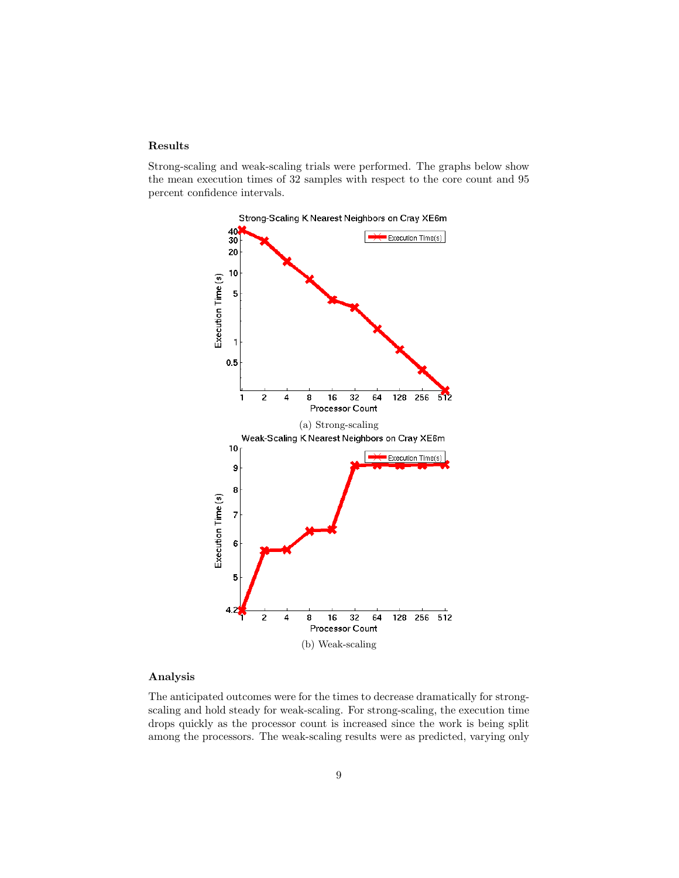### Results

Strong-scaling and weak-scaling trials were performed. The graphs below show the mean execution times of 32 samples with respect to the core count and 95 percent confidence intervals.



### Analysis

The anticipated outcomes were for the times to decrease dramatically for strongscaling and hold steady for weak-scaling. For strong-scaling, the execution time drops quickly as the processor count is increased since the work is being split among the processors. The weak-scaling results were as predicted, varying only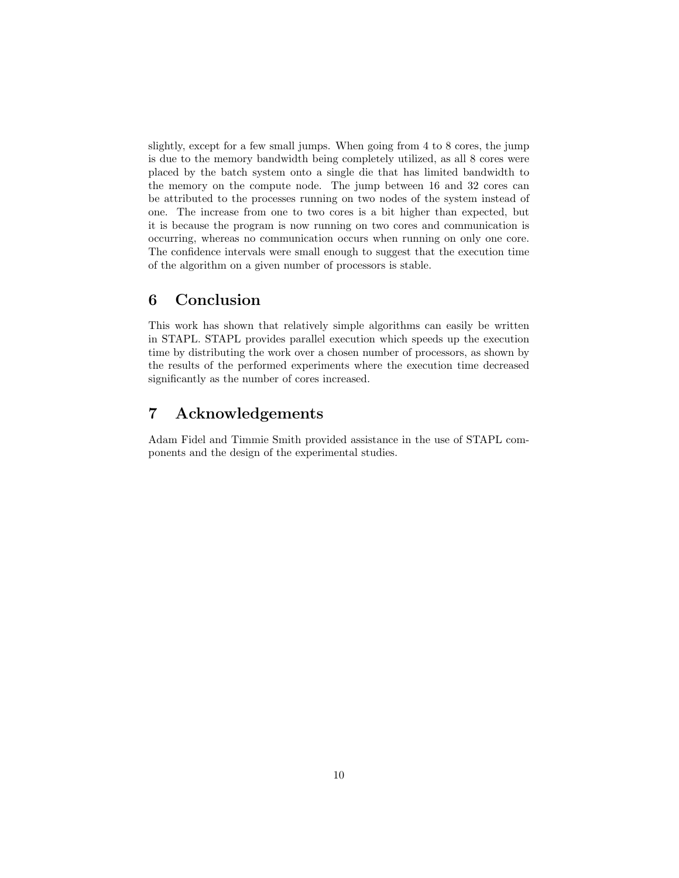slightly, except for a few small jumps. When going from 4 to 8 cores, the jump is due to the memory bandwidth being completely utilized, as all 8 cores were placed by the batch system onto a single die that has limited bandwidth to the memory on the compute node. The jump between 16 and 32 cores can be attributed to the processes running on two nodes of the system instead of one. The increase from one to two cores is a bit higher than expected, but it is because the program is now running on two cores and communication is occurring, whereas no communication occurs when running on only one core. The confidence intervals were small enough to suggest that the execution time of the algorithm on a given number of processors is stable.

## 6 Conclusion

This work has shown that relatively simple algorithms can easily be written in STAPL. STAPL provides parallel execution which speeds up the execution time by distributing the work over a chosen number of processors, as shown by the results of the performed experiments where the execution time decreased significantly as the number of cores increased.

## 7 Acknowledgements

Adam Fidel and Timmie Smith provided assistance in the use of STAPL components and the design of the experimental studies.